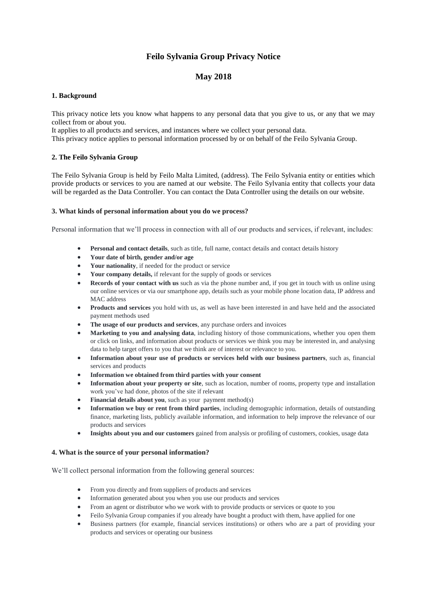# **Feilo Sylvania Group Privacy Notice**

## **May 2018**

## **1. Background**

This privacy notice lets you know what happens to any personal data that you give to us, or any that we may collect from or about you.

It applies to all products and services, and instances where we collect your personal data. This privacy notice applies to personal information processed by or on behalf of the Feilo Sylvania Group.

## **2. The Feilo Sylvania Group**

The Feilo Sylvania Group is held by Feilo Malta Limited, (address). The Feilo Sylvania entity or entities which provide products or services to you are named at our website. The Feilo Sylvania entity that collects your data will be regarded as the Data Controller. You can contact the Data Controller using the details on our website.

## **3. What kinds of personal information about you do we process?**

Personal information that we'll process in connection with all of our products and services, if relevant, includes:

- **Personal and contact details**, such as title, full name, contact details and contact details history
- **Your date of birth, gender and/or age**
- **Your nationality**, if needed for the product or service
- **Your company details,** if relevant for the supply of goods or services
- **Records of your contact with us** such as via the phone number and, if you get in touch with us online using our online services or via our smartphone app, details such as your mobile phone location data, IP address and MAC address
- **Products and services** you hold with us, as well as have been interested in and have held and the associated payment methods used
- **The usage of our products and services**, any purchase orders and invoices
- **Marketing to you and analysing data**, including history of those communications, whether you open them or click on links, and information about products or services we think you may be interested in, and analysing data to help target offers to you that we think are of interest or relevance to you.
- **Information about your use of products or services held with our business partners**, such as, financial services and products
- **Information we obtained from third parties with your consent**
- **Information about your property or site**, such as location, number of rooms, property type and installation work you've had done, photos of the site if relevant
- **Financial details about you**, such as your payment method(s)
- **Information we buy or rent from third parties**, including demographic information, details of outstanding finance, marketing lists, publicly available information, and information to help improve the relevance of our products and services
- **Insights about you and our customers** gained from analysis or profiling of customers, cookies, usage data

## **4. What is the source of your personal information?**

We'll collect personal information from the following general sources:

- From you directly and from suppliers of products and services
- Information generated about you when you use our products and services
- From an agent or distributor who we work with to provide products or services or quote to you
- Feilo Sylvania Group companies if you already have bought a product with them, have applied for one
- Business partners (for example, financial services institutions) or others who are a part of providing your products and services or operating our business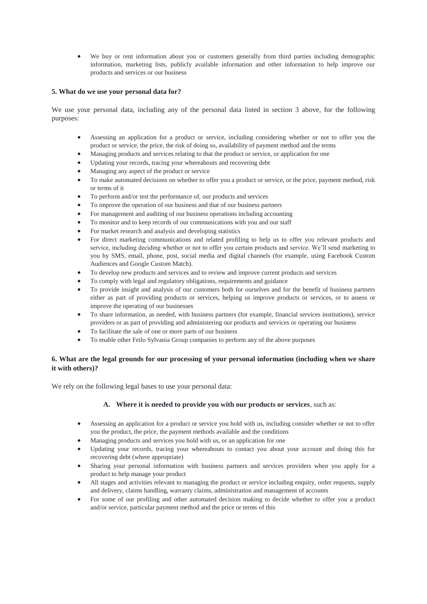We buy or rent information about you or customers generally from third parties including demographic information, marketing lists, publicly available information and other information to help improve our products and services or our business

## **5. What do we use your personal data for?**

We use your personal data, including any of the personal data listed in section 3 above, for the following purposes:

- Assessing an application for a product or service, including considering whether or not to offer you the product or service, the price, the risk of doing so, availability of payment method and the terms
- Managing products and services relating to that the product or service, or application for one
- Updating your records, tracing your whereabouts and recovering debt
- Managing any aspect of the product or service
- To make automated decisions on whether to offer you a product or service, or the price, payment method, risk or terms of it
- To perform and/or test the performance of, our products and services
- To improve the operation of our business and that of our business partners
- For management and auditing of our business operations including accounting
- To monitor and to keep records of our communications with you and our staff
- For market research and analysis and developing statistics
- For direct marketing communications and related profiling to help us to offer you relevant products and service, including deciding whether or not to offer you certain products and service. We'll send marketing to you by SMS, email, phone, post, social media and digital channels (for example, using Facebook Custom Audiences and Google Custom Match).
- To develop new products and services and to review and improve current products and services
- To comply with legal and regulatory obligations, requirements and guidance
- To provide insight and analysis of our customers both for ourselves and for the benefit of business partners either as part of providing products or services, helping us improve products or services, or to assess or improve the operating of our businesses
- To share information, as needed, with business partners (for example, financial services institutions), service providers or as part of providing and administering our products and services or operating our business
- To facilitate the sale of one or more parts of our business
- To enable other Feilo Sylvania Group companies to perform any of the above purposes

## **6. What are the legal grounds for our processing of your personal information (including when we share it with others)?**

We rely on the following legal bases to use your personal data:

## **A. Where it is needed to provide you with our products or services**, such as:

- Assessing an application for a product or service you hold with us, including consider whether or not to offer you the product, the price, the payment methods available and the conditions
- Managing products and services you hold with us, or an application for one
- Updating your records, tracing your whereabouts to contact you about your account and doing this for recovering debt (where appropriate)
- Sharing your personal information with business partners and services providers when you apply for a product to help manage your product
- All stages and activities relevant to managing the product or service including enquiry, order requests, supply and delivery, claims handling, warranty claims, administration and management of accounts
- For some of our profiling and other automated decision making to decide whether to offer you a product and/or service, particular payment method and the price or terms of this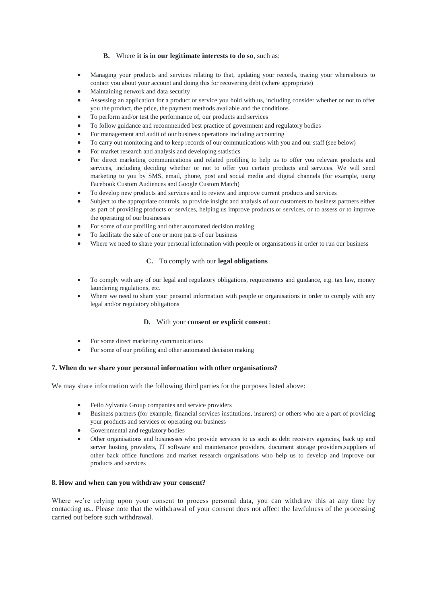## **B.** Where **it is in our legitimate interests to do so**, such as:

- Managing your products and services relating to that, updating your records, tracing your whereabouts to contact you about your account and doing this for recovering debt (where appropriate)
- Maintaining network and data security
- Assessing an application for a product or service you hold with us, including consider whether or not to offer you the product, the price, the payment methods available and the conditions
- To perform and/or test the performance of, our products and services
- To follow guidance and recommended best practice of government and regulatory bodies
- For management and audit of our business operations including accounting
- To carry out monitoring and to keep records of our communications with you and our staff (see below)
- For market research and analysis and developing statistics
- For direct marketing communications and related profiling to help us to offer you relevant products and services, including deciding whether or not to offer you certain products and services. We will send marketing to you by SMS, email, phone, post and social media and digital channels (for example, using Facebook Custom Audiences and Google Custom Match)
- To develop new products and services and to review and improve current products and services
- Subject to the appropriate controls, to provide insight and analysis of our customers to business partners either as part of providing products or services, helping us improve products or services, or to assess or to improve the operating of our businesses
- For some of our profiling and other automated decision making
- To facilitate the sale of one or more parts of our business
- Where we need to share your personal information with people or organisations in order to run our business

## **C.** To comply with our **legal obligations**

- To comply with any of our legal and regulatory obligations, requirements and guidance, e.g. tax law, money laundering regulations, etc.
- Where we need to share your personal information with people or organisations in order to comply with any legal and/or regulatory obligations

## **D.** With your **consent or explicit consent**:

- For some direct marketing communications
- For some of our profiling and other automated decision making

## **7. When do we share your personal information with other organisations?**

We may share information with the following third parties for the purposes listed above:

- Feilo Sylvania Group companies and service providers
- Business partners (for example, financial services institutions, insurers) or others who are a part of providing your products and services or operating our business
- Governmental and regulatory bodies
- Other organisations and businesses who provide services to us such as debt recovery agencies, back up and server hosting providers, IT software and maintenance providers, document storage providers,suppliers of other back office functions and market research organisations who help us to develop and improve our products and services

## **8. How and when can you withdraw your consent?**

Where we're relying upon your consent to process personal data, you can withdraw this at any time by contacting us.. Please note that the withdrawal of your consent does not affect the lawfulness of the processing carried out before such withdrawal.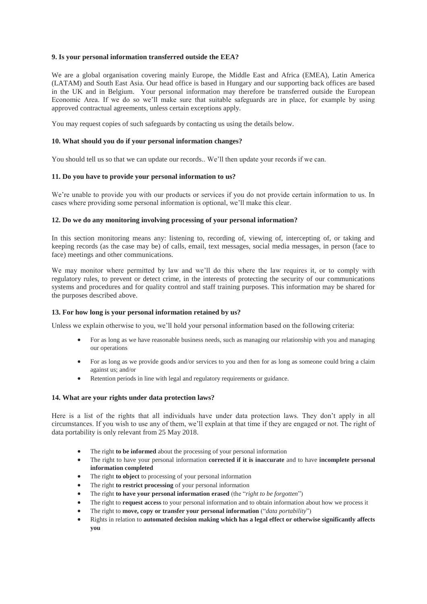#### **9. Is your personal information transferred outside the EEA?**

We are a global organisation covering mainly Europe, the Middle East and Africa (EMEA), Latin America (LATAM) and South East Asia. Our head office is based in Hungary and our supporting back offices are based in the UK and in Belgium. Your personal information may therefore be transferred outside the European Economic Area. If we do so we'll make sure that suitable safeguards are in place, for example by using approved contractual agreements, unless certain exceptions apply.

You may request copies of such safeguards by contacting us using the details below.

#### **10. What should you do if your personal information changes?**

You should tell us so that we can update our records.. We'll then update your records if we can.

#### **11. Do you have to provide your personal information to us?**

We're unable to provide you with our products or services if you do not provide certain information to us. In cases where providing some personal information is optional, we'll make this clear.

#### **12. Do we do any monitoring involving processing of your personal information?**

In this section monitoring means any: listening to, recording of, viewing of, intercepting of, or taking and keeping records (as the case may be) of calls, email, text messages, social media messages, in person (face to face) meetings and other communications.

We may monitor where permitted by law and we'll do this where the law requires it, or to comply with regulatory rules, to prevent or detect crime, in the interests of protecting the security of our communications systems and procedures and for quality control and staff training purposes. This information may be shared for the purposes described above.

#### **13. For how long is your personal information retained by us?**

Unless we explain otherwise to you, we'll hold your personal information based on the following criteria:

- For as long as we have reasonable business needs, such as managing our relationship with you and managing our operations
- For as long as we provide goods and/or services to you and then for as long as someone could bring a claim against us; and/or
- Retention periods in line with legal and regulatory requirements or guidance.

#### **14. What are your rights under data protection laws?**

Here is a list of the rights that all individuals have under data protection laws. They don't apply in all circumstances. If you wish to use any of them, we'll explain at that time if they are engaged or not. The right of data portability is only relevant from 25 May 2018.

- The right **to be informed** about the processing of your personal information
- The right to have your personal information **corrected if it is inaccurate** and to have **incomplete personal information completed**
- The right **to object** to processing of your personal information
- The right **to restrict processing** of your personal information
- The right **to have your personal information erased** (the "*right to be forgotten*")
- The right to **request access** to your personal information and to obtain information about how we process it
- The right to **move, copy or transfer your personal information** ("*data portability*")
- Rights in relation to **automated decision making which has a legal effect or otherwise significantly affects you**